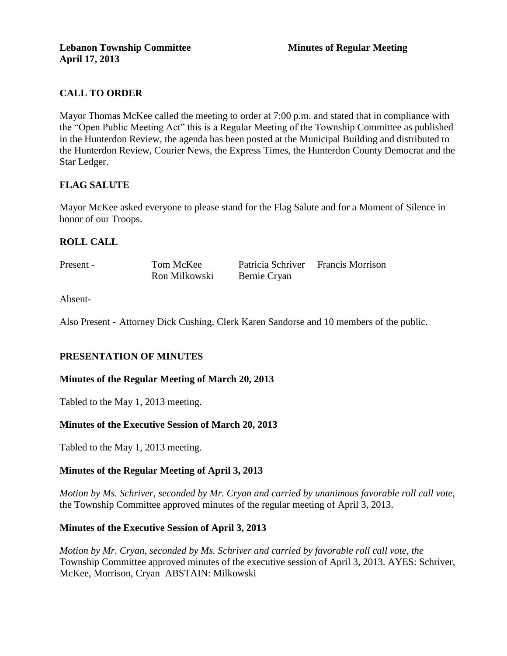# **CALL TO ORDER**

Mayor Thomas McKee called the meeting to order at 7:00 p.m. and stated that in compliance with the "Open Public Meeting Act" this is a Regular Meeting of the Township Committee as published in the Hunterdon Review, the agenda has been posted at the Municipal Building and distributed to the Hunterdon Review, Courier News, the Express Times, the Hunterdon County Democrat and the Star Ledger.

# **FLAG SALUTE**

Mayor McKee asked everyone to please stand for the Flag Salute and for a Moment of Silence in honor of our Troops.

# **ROLL CALL**

| Present - | Tom McKee     | Patricia Schriver Francis Morrison |  |
|-----------|---------------|------------------------------------|--|
|           | Ron Milkowski | Bernie Cryan                       |  |

Absent-

Also Present - Attorney Dick Cushing, Clerk Karen Sandorse and 10 members of the public.

# **PRESENTATION OF MINUTES**

#### **Minutes of the Regular Meeting of March 20, 2013**

Tabled to the May 1, 2013 meeting.

# **Minutes of the Executive Session of March 20, 2013**

Tabled to the May 1, 2013 meeting.

# **Minutes of the Regular Meeting of April 3, 2013**

*Motion by Ms. Schriver, seconded by Mr. Cryan and carried by unanimous favorable roll call vote,* the Township Committee approved minutes of the regular meeting of April 3, 2013.

#### **Minutes of the Executive Session of April 3, 2013**

*Motion by Mr. Cryan, seconded by Ms. Schriver and carried by favorable roll call vote, the* Township Committee approved minutes of the executive session of April 3, 2013. AYES: Schriver, McKee, Morrison, Cryan ABSTAIN: Milkowski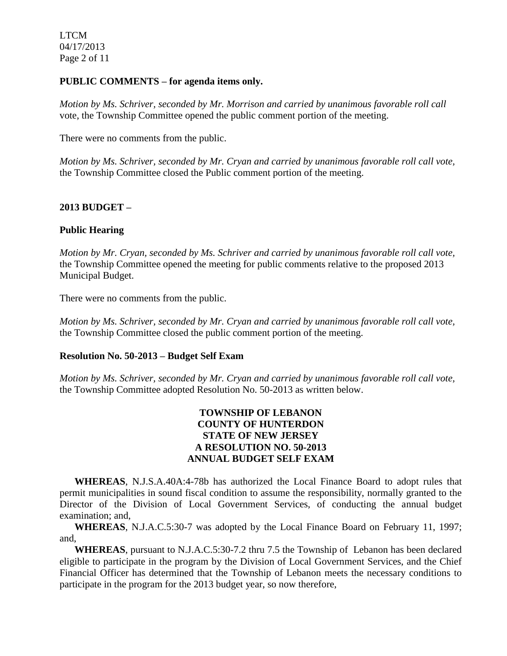LTCM 04/17/2013 Page 2 of 11

#### **PUBLIC COMMENTS – for agenda items only.**

*Motion by Ms. Schriver, seconded by Mr. Morrison and carried by unanimous favorable roll call*  vote, the Township Committee opened the public comment portion of the meeting.

There were no comments from the public.

*Motion by Ms. Schriver, seconded by Mr. Cryan and carried by unanimous favorable roll call vote,* the Township Committee closed the Public comment portion of the meeting.

#### **2013 BUDGET –**

#### **Public Hearing**

*Motion by Mr. Cryan, seconded by Ms. Schriver and carried by unanimous favorable roll call vote,* the Township Committee opened the meeting for public comments relative to the proposed 2013 Municipal Budget.

There were no comments from the public.

*Motion by Ms. Schriver, seconded by Mr. Cryan and carried by unanimous favorable roll call vote,* the Township Committee closed the public comment portion of the meeting.

#### **Resolution No. 50-2013 – Budget Self Exam**

*Motion by Ms. Schriver, seconded by Mr. Cryan and carried by unanimous favorable roll call vote,* the Township Committee adopted Resolution No. 50-2013 as written below.

#### **TOWNSHIP OF LEBANON COUNTY OF HUNTERDON STATE OF NEW JERSEY A RESOLUTION NO. 50-2013 ANNUAL BUDGET SELF EXAM**

 **WHEREAS**, N.J.S.A.40A:4-78b has authorized the Local Finance Board to adopt rules that permit municipalities in sound fiscal condition to assume the responsibility, normally granted to the Director of the Division of Local Government Services, of conducting the annual budget examination; and,

 **WHEREAS**, N.J.A.C.5:30-7 was adopted by the Local Finance Board on February 11, 1997; and,

 **WHEREAS**, pursuant to N.J.A.C.5:30-7.2 thru 7.5 the Township of Lebanon has been declared eligible to participate in the program by the Division of Local Government Services, and the Chief Financial Officer has determined that the Township of Lebanon meets the necessary conditions to participate in the program for the 2013 budget year, so now therefore,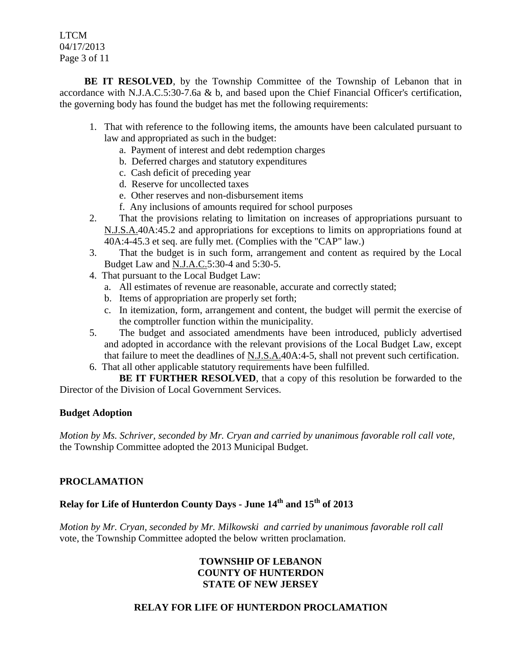LTCM 04/17/2013 Page 3 of 11

**BE IT RESOLVED**, by the Township Committee of the Township of Lebanon that in accordance with N.J.A.C.5:30-7.6a & b, and based upon the Chief Financial Officer's certification, the governing body has found the budget has met the following requirements:

- 1. That with reference to the following items, the amounts have been calculated pursuant to law and appropriated as such in the budget:
	- a. Payment of interest and debt redemption charges
	- b. Deferred charges and statutory expenditures
	- c. Cash deficit of preceding year
	- d. Reserve for uncollected taxes
	- e. Other reserves and non-disbursement items
	- f. Any inclusions of amounts required for school purposes
- 2. That the provisions relating to limitation on increases of appropriations pursuant to N.J.S.A.40A:45.2 and appropriations for exceptions to limits on appropriations found at 40A:4-45.3 et seq. are fully met. (Complies with the "CAP" law.)
- 3. That the budget is in such form, arrangement and content as required by the Local Budget Law and N.J.A.C.5:30-4 and 5:30-5.
- 4. That pursuant to the Local Budget Law:
	- a. All estimates of revenue are reasonable, accurate and correctly stated;
	- b. Items of appropriation are properly set forth;
	- c. In itemization, form, arrangement and content, the budget will permit the exercise of the comptroller function within the municipality.
- 5. The budget and associated amendments have been introduced, publicly advertised and adopted in accordance with the relevant provisions of the Local Budget Law, except that failure to meet the deadlines of N.J.S.A.40A:4-5, shall not prevent such certification.
- 6. That all other applicable statutory requirements have been fulfilled.

**BE IT FURTHER RESOLVED**, that a copy of this resolution be forwarded to the Director of the Division of Local Government Services.

# **Budget Adoption**

*Motion by Ms. Schriver, seconded by Mr. Cryan and carried by unanimous favorable roll call vote,* the Township Committee adopted the 2013 Municipal Budget.

# **PROCLAMATION**

# **Relay for Life of Hunterdon County Days - June 14th and 15th of 2013**

*Motion by Mr. Cryan, seconded by Mr. Milkowski and carried by unanimous favorable roll call*  vote, the Township Committee adopted the below written proclamation.

#### **TOWNSHIP OF LEBANON COUNTY OF HUNTERDON STATE OF NEW JERSEY**

# **RELAY FOR LIFE OF HUNTERDON PROCLAMATION**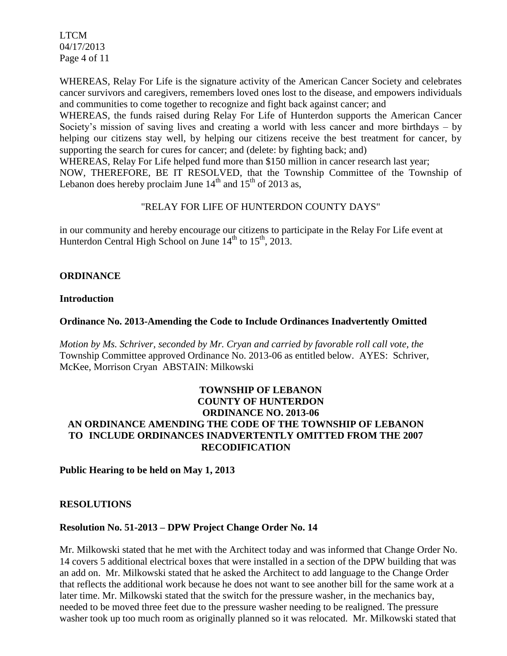LTCM 04/17/2013 Page 4 of 11

WHEREAS, Relay For Life is the signature activity of the American Cancer Society and celebrates cancer survivors and caregivers, remembers loved ones lost to the disease, and empowers individuals and communities to come together to recognize and fight back against cancer; and

WHEREAS, the funds raised during Relay For Life of Hunterdon supports the American Cancer Society's mission of saving lives and creating a world with less cancer and more birthdays – by helping our citizens stay well, by helping our citizens receive the best treatment for cancer, by supporting the search for cures for cancer; and (delete: by fighting back; and)

WHEREAS, Relay For Life helped fund more than \$150 million in cancer research last year;

NOW, THEREFORE, BE IT RESOLVED, that the Township Committee of the Township of Lebanon does hereby proclaim June  $14<sup>th</sup>$  and  $15<sup>th</sup>$  of 2013 as,

# "RELAY FOR LIFE OF HUNTERDON COUNTY DAYS"

in our community and hereby encourage our citizens to participate in the Relay For Life event at Hunterdon Central High School on June  $14<sup>th</sup>$  to  $15<sup>th</sup>$ , 2013.

# **ORDINANCE**

#### **Introduction**

# **Ordinance No. 2013-Amending the Code to Include Ordinances Inadvertently Omitted**

*Motion by Ms. Schriver, seconded by Mr. Cryan and carried by favorable roll call vote, the* Township Committee approved Ordinance No. 2013-06 as entitled below. AYES: Schriver, McKee, Morrison Cryan ABSTAIN: Milkowski

#### **TOWNSHIP OF LEBANON COUNTY OF HUNTERDON ORDINANCE NO. 2013-06 AN ORDINANCE AMENDING THE CODE OF THE TOWNSHIP OF LEBANON TO INCLUDE ORDINANCES INADVERTENTLY OMITTED FROM THE 2007 RECODIFICATION**

**Public Hearing to be held on May 1, 2013**

# **RESOLUTIONS**

# **Resolution No. 51-2013 – DPW Project Change Order No. 14**

Mr. Milkowski stated that he met with the Architect today and was informed that Change Order No. 14 covers 5 additional electrical boxes that were installed in a section of the DPW building that was an add on. Mr. Milkowski stated that he asked the Architect to add language to the Change Order that reflects the additional work because he does not want to see another bill for the same work at a later time. Mr. Milkowski stated that the switch for the pressure washer, in the mechanics bay, needed to be moved three feet due to the pressure washer needing to be realigned. The pressure washer took up too much room as originally planned so it was relocated. Mr. Milkowski stated that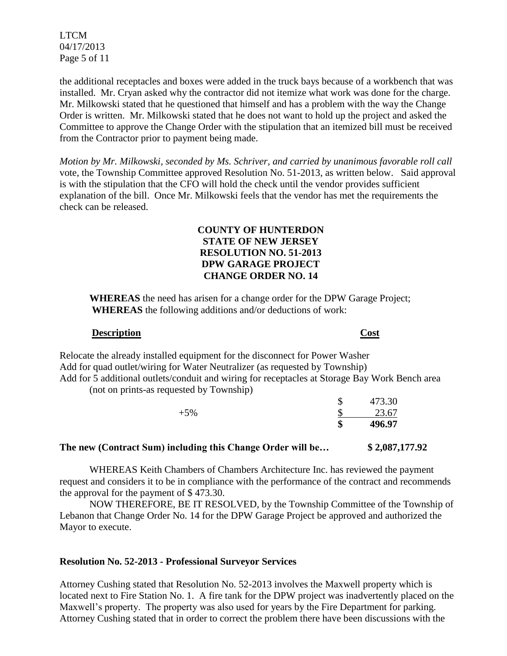LTCM 04/17/2013 Page 5 of 11

the additional receptacles and boxes were added in the truck bays because of a workbench that was installed. Mr. Cryan asked why the contractor did not itemize what work was done for the charge. Mr. Milkowski stated that he questioned that himself and has a problem with the way the Change Order is written. Mr. Milkowski stated that he does not want to hold up the project and asked the Committee to approve the Change Order with the stipulation that an itemized bill must be received from the Contractor prior to payment being made.

*Motion by Mr. Milkowski, seconded by Ms. Schriver, and carried by unanimous favorable roll call*  vote, the Township Committee approved Resolution No. 51-2013, as written below. Said approval is with the stipulation that the CFO will hold the check until the vendor provides sufficient explanation of the bill. Once Mr. Milkowski feels that the vendor has met the requirements the check can be released.

#### **COUNTY OF HUNTERDON STATE OF NEW JERSEY RESOLUTION NO. 51-2013 DPW GARAGE PROJECT CHANGE ORDER NO. 14**

**WHEREAS** the need has arisen for a change order for the DPW Garage Project;  **WHEREAS** the following additions and/or deductions of work:

#### **Description Cost**

Relocate the already installed equipment for the disconnect for Power Washer Add for quad outlet/wiring for Water Neutralizer (as requested by Township) Add for 5 additional outlets/conduit and wiring for receptacles at Storage Bay Work Bench area (not on prints-as requested by Township)

|       | ◡       | 473.30 |
|-------|---------|--------|
| $+5%$ |         | 23.67  |
|       | ጡ<br>ъb | 496.97 |
|       |         |        |

#### **The new (Contract Sum) including this Change Order will be… \$ 2,087,177.92**

WHEREAS Keith Chambers of Chambers Architecture Inc. has reviewed the payment request and considers it to be in compliance with the performance of the contract and recommends the approval for the payment of \$ 473.30.

NOW THEREFORE, BE IT RESOLVED, by the Township Committee of the Township of Lebanon that Change Order No. 14 for the DPW Garage Project be approved and authorized the Mayor to execute.

#### **Resolution No. 52-2013 - Professional Surveyor Services**

Attorney Cushing stated that Resolution No. 52-2013 involves the Maxwell property which is located next to Fire Station No. 1. A fire tank for the DPW project was inadvertently placed on the Maxwell's property. The property was also used for years by the Fire Department for parking. Attorney Cushing stated that in order to correct the problem there have been discussions with the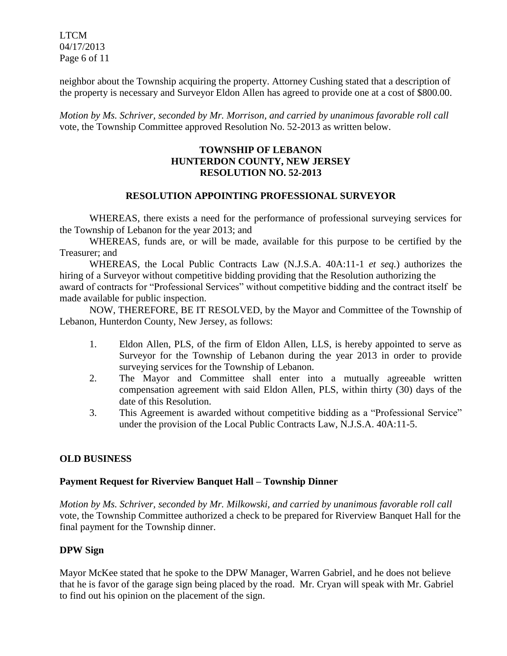LTCM 04/17/2013 Page 6 of 11

neighbor about the Township acquiring the property. Attorney Cushing stated that a description of the property is necessary and Surveyor Eldon Allen has agreed to provide one at a cost of \$800.00.

*Motion by Ms. Schriver, seconded by Mr. Morrison, and carried by unanimous favorable roll call*  vote, the Township Committee approved Resolution No. 52-2013 as written below.

# **TOWNSHIP OF LEBANON HUNTERDON COUNTY, NEW JERSEY RESOLUTION NO. 52-2013**

#### **RESOLUTION APPOINTING PROFESSIONAL SURVEYOR**

WHEREAS, there exists a need for the performance of professional surveying services for the Township of Lebanon for the year 2013; and

WHEREAS, funds are, or will be made, available for this purpose to be certified by the Treasurer; and

WHEREAS, the Local Public Contracts Law (N.J.S.A. 40A:11-1 *et seq.*) authorizes the hiring of a Surveyor without competitive bidding providing that the Resolution authorizing the award of contracts for "Professional Services" without competitive bidding and the contract itself be made available for public inspection.

NOW, THEREFORE, BE IT RESOLVED, by the Mayor and Committee of the Township of Lebanon, Hunterdon County, New Jersey, as follows:

- 1. Eldon Allen, PLS, of the firm of Eldon Allen, LLS, is hereby appointed to serve as Surveyor for the Township of Lebanon during the year 2013 in order to provide surveying services for the Township of Lebanon.
- 2. The Mayor and Committee shall enter into a mutually agreeable written compensation agreement with said Eldon Allen, PLS, within thirty (30) days of the date of this Resolution.
- 3. This Agreement is awarded without competitive bidding as a "Professional Service" under the provision of the Local Public Contracts Law, N.J.S.A. 40A:11-5.

# **OLD BUSINESS**

# **Payment Request for Riverview Banquet Hall – Township Dinner**

*Motion by Ms. Schriver, seconded by Mr. Milkowski, and carried by unanimous favorable roll call*  vote, the Township Committee authorized a check to be prepared for Riverview Banquet Hall for the final payment for the Township dinner.

# **DPW Sign**

Mayor McKee stated that he spoke to the DPW Manager, Warren Gabriel, and he does not believe that he is favor of the garage sign being placed by the road. Mr. Cryan will speak with Mr. Gabriel to find out his opinion on the placement of the sign.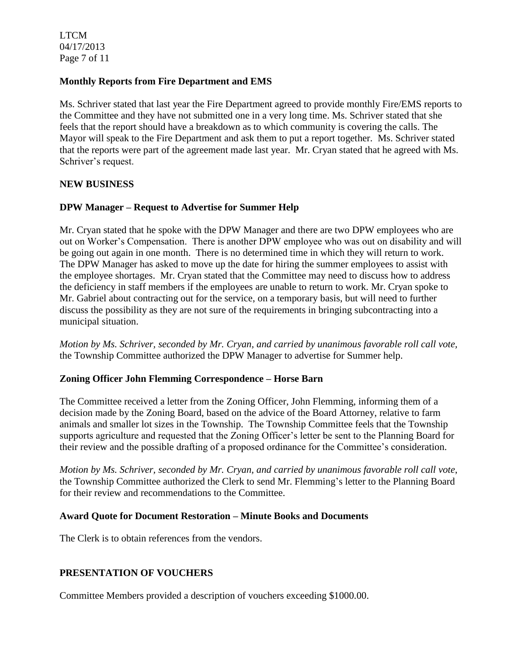LTCM 04/17/2013 Page 7 of 11

#### **Monthly Reports from Fire Department and EMS**

Ms. Schriver stated that last year the Fire Department agreed to provide monthly Fire/EMS reports to the Committee and they have not submitted one in a very long time. Ms. Schriver stated that she feels that the report should have a breakdown as to which community is covering the calls. The Mayor will speak to the Fire Department and ask them to put a report together. Ms. Schriver stated that the reports were part of the agreement made last year. Mr. Cryan stated that he agreed with Ms. Schriver's request.

#### **NEW BUSINESS**

# **DPW Manager – Request to Advertise for Summer Help**

Mr. Cryan stated that he spoke with the DPW Manager and there are two DPW employees who are out on Worker's Compensation. There is another DPW employee who was out on disability and will be going out again in one month. There is no determined time in which they will return to work. The DPW Manager has asked to move up the date for hiring the summer employees to assist with the employee shortages. Mr. Cryan stated that the Committee may need to discuss how to address the deficiency in staff members if the employees are unable to return to work. Mr. Cryan spoke to Mr. Gabriel about contracting out for the service, on a temporary basis, but will need to further discuss the possibility as they are not sure of the requirements in bringing subcontracting into a municipal situation.

*Motion by Ms. Schriver, seconded by Mr. Cryan, and carried by unanimous favorable roll call vote,* the Township Committee authorized the DPW Manager to advertise for Summer help.

#### **Zoning Officer John Flemming Correspondence – Horse Barn**

The Committee received a letter from the Zoning Officer, John Flemming, informing them of a decision made by the Zoning Board, based on the advice of the Board Attorney, relative to farm animals and smaller lot sizes in the Township. The Township Committee feels that the Township supports agriculture and requested that the Zoning Officer's letter be sent to the Planning Board for their review and the possible drafting of a proposed ordinance for the Committee's consideration.

*Motion by Ms. Schriver, seconded by Mr. Cryan, and carried by unanimous favorable roll call vote*, the Township Committee authorized the Clerk to send Mr. Flemming's letter to the Planning Board for their review and recommendations to the Committee.

#### **Award Quote for Document Restoration – Minute Books and Documents**

The Clerk is to obtain references from the vendors.

# **PRESENTATION OF VOUCHERS**

Committee Members provided a description of vouchers exceeding \$1000.00.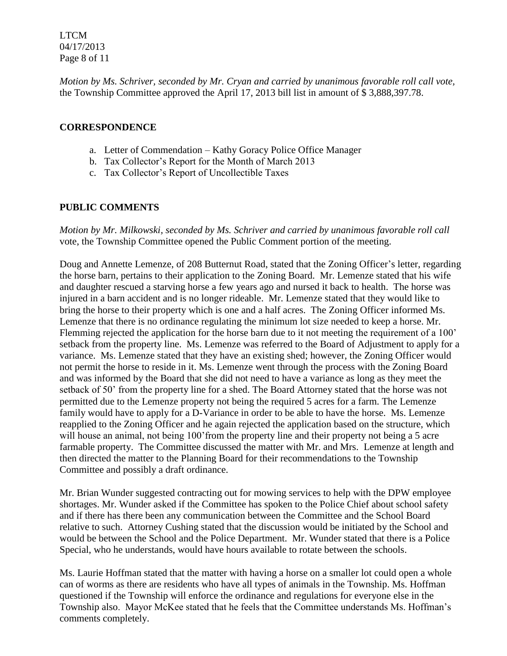LTCM 04/17/2013 Page 8 of 11

*Motion by Ms. Schriver, seconded by Mr. Cryan and carried by unanimous favorable roll call vote,* the Township Committee approved the April 17, 2013 bill list in amount of \$ 3,888,397.78.

#### **CORRESPONDENCE**

- a. Letter of Commendation Kathy Goracy Police Office Manager
- b. Tax Collector's Report for the Month of March 2013
- c. Tax Collector's Report of Uncollectible Taxes

# **PUBLIC COMMENTS**

*Motion by Mr. Milkowski, seconded by Ms. Schriver and carried by unanimous favorable roll call*  vote, the Township Committee opened the Public Comment portion of the meeting.

Doug and Annette Lemenze, of 208 Butternut Road, stated that the Zoning Officer's letter, regarding the horse barn, pertains to their application to the Zoning Board. Mr. Lemenze stated that his wife and daughter rescued a starving horse a few years ago and nursed it back to health. The horse was injured in a barn accident and is no longer rideable. Mr. Lemenze stated that they would like to bring the horse to their property which is one and a half acres. The Zoning Officer informed Ms. Lemenze that there is no ordinance regulating the minimum lot size needed to keep a horse. Mr. Flemming rejected the application for the horse barn due to it not meeting the requirement of a 100' setback from the property line. Ms. Lemenze was referred to the Board of Adjustment to apply for a variance. Ms. Lemenze stated that they have an existing shed; however, the Zoning Officer would not permit the horse to reside in it. Ms. Lemenze went through the process with the Zoning Board and was informed by the Board that she did not need to have a variance as long as they meet the setback of 50' from the property line for a shed. The Board Attorney stated that the horse was not permitted due to the Lemenze property not being the required 5 acres for a farm. The Lemenze family would have to apply for a D-Variance in order to be able to have the horse. Ms. Lemenze reapplied to the Zoning Officer and he again rejected the application based on the structure, which will house an animal, not being 100'from the property line and their property not being a 5 acre farmable property. The Committee discussed the matter with Mr. and Mrs. Lemenze at length and then directed the matter to the Planning Board for their recommendations to the Township Committee and possibly a draft ordinance.

Mr. Brian Wunder suggested contracting out for mowing services to help with the DPW employee shortages. Mr. Wunder asked if the Committee has spoken to the Police Chief about school safety and if there has there been any communication between the Committee and the School Board relative to such. Attorney Cushing stated that the discussion would be initiated by the School and would be between the School and the Police Department. Mr. Wunder stated that there is a Police Special, who he understands, would have hours available to rotate between the schools.

Ms. Laurie Hoffman stated that the matter with having a horse on a smaller lot could open a whole can of worms as there are residents who have all types of animals in the Township. Ms. Hoffman questioned if the Township will enforce the ordinance and regulations for everyone else in the Township also. Mayor McKee stated that he feels that the Committee understands Ms. Hoffman's comments completely.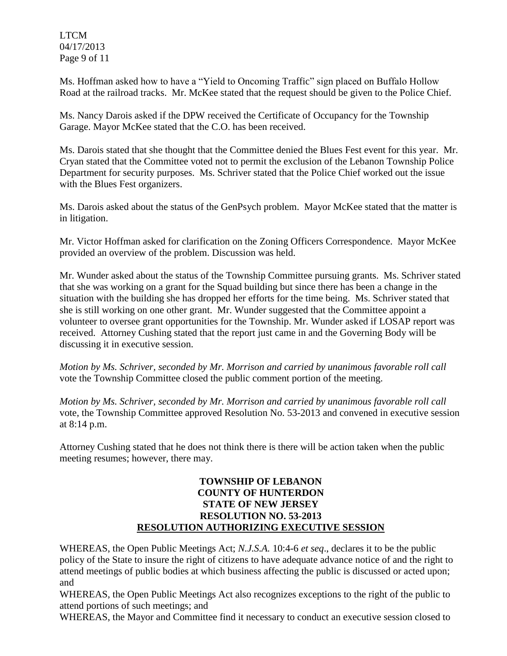LTCM 04/17/2013 Page 9 of 11

Ms. Hoffman asked how to have a "Yield to Oncoming Traffic" sign placed on Buffalo Hollow Road at the railroad tracks. Mr. McKee stated that the request should be given to the Police Chief.

Ms. Nancy Darois asked if the DPW received the Certificate of Occupancy for the Township Garage. Mayor McKee stated that the C.O. has been received.

Ms. Darois stated that she thought that the Committee denied the Blues Fest event for this year. Mr. Cryan stated that the Committee voted not to permit the exclusion of the Lebanon Township Police Department for security purposes. Ms. Schriver stated that the Police Chief worked out the issue with the Blues Fest organizers.

Ms. Darois asked about the status of the GenPsych problem. Mayor McKee stated that the matter is in litigation.

Mr. Victor Hoffman asked for clarification on the Zoning Officers Correspondence. Mayor McKee provided an overview of the problem. Discussion was held.

Mr. Wunder asked about the status of the Township Committee pursuing grants. Ms. Schriver stated that she was working on a grant for the Squad building but since there has been a change in the situation with the building she has dropped her efforts for the time being. Ms. Schriver stated that she is still working on one other grant. Mr. Wunder suggested that the Committee appoint a volunteer to oversee grant opportunities for the Township. Mr. Wunder asked if LOSAP report was received. Attorney Cushing stated that the report just came in and the Governing Body will be discussing it in executive session.

*Motion by Ms. Schriver, seconded by Mr. Morrison and carried by unanimous favorable roll call*  vote the Township Committee closed the public comment portion of the meeting.

*Motion by Ms. Schriver, seconded by Mr. Morrison and carried by unanimous favorable roll call*  vote, the Township Committee approved Resolution No. 53-2013 and convened in executive session at 8:14 p.m.

Attorney Cushing stated that he does not think there is there will be action taken when the public meeting resumes; however, there may.

#### **TOWNSHIP OF LEBANON COUNTY OF HUNTERDON STATE OF NEW JERSEY RESOLUTION NO. 53-2013 RESOLUTION AUTHORIZING EXECUTIVE SESSION**

WHEREAS, the Open Public Meetings Act; *N.J.S.A.* 10:4-6 *et seq*., declares it to be the public policy of the State to insure the right of citizens to have adequate advance notice of and the right to attend meetings of public bodies at which business affecting the public is discussed or acted upon; and

WHEREAS, the Open Public Meetings Act also recognizes exceptions to the right of the public to attend portions of such meetings; and

WHEREAS, the Mayor and Committee find it necessary to conduct an executive session closed to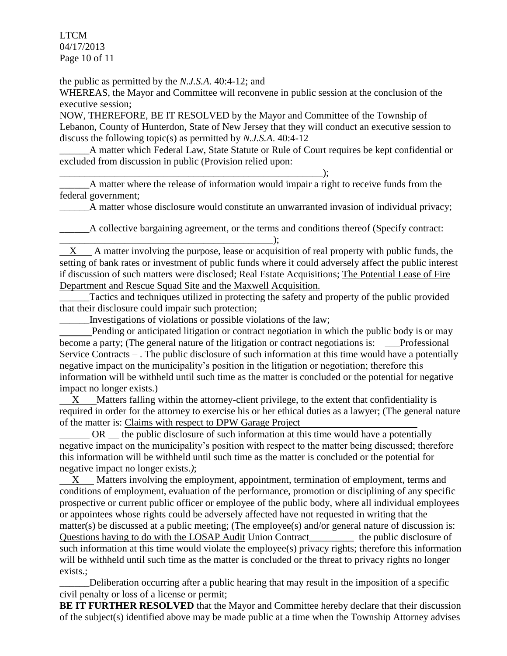LTCM 04/17/2013 Page 10 of 11

the public as permitted by the *N.J.S.A*. 40:4-12; and

WHEREAS, the Mayor and Committee will reconvene in public session at the conclusion of the executive session;

NOW, THEREFORE, BE IT RESOLVED by the Mayor and Committee of the Township of Lebanon, County of Hunterdon, State of New Jersey that they will conduct an executive session to discuss the following topic(s) as permitted by *N.J.S.A*. 40:4-12

\_\_\_\_\_\_A matter which Federal Law, State Statute or Rule of Court requires be kept confidential or excluded from discussion in public (Provision relied upon:

\_\_\_\_\_\_A matter where the release of information would impair a right to receive funds from the federal government;

A matter whose disclosure would constitute an unwarranted invasion of individual privacy;

A collective bargaining agreement, or the terms and conditions thereof (Specify contract: \_\_\_\_\_\_\_\_\_\_\_\_\_\_\_\_\_\_\_\_\_\_\_\_\_\_\_\_\_\_\_\_\_\_\_\_\_\_\_\_\_\_\_);

X A matter involving the purpose, lease or acquisition of real property with public funds, the setting of bank rates or investment of public funds where it could adversely affect the public interest if discussion of such matters were disclosed; Real Estate Acquisitions; The Potential Lease of Fire Department and Rescue Squad Site and the Maxwell Acquisition.

Tactics and techniques utilized in protecting the safety and property of the public provided that their disclosure could impair such protection;

\_\_\_\_\_\_Investigations of violations or possible violations of the law;

\_\_\_\_\_\_\_\_\_\_\_\_\_\_\_\_\_\_\_\_\_\_\_\_\_\_\_\_\_\_\_\_\_\_\_\_\_\_\_\_\_\_\_\_\_\_\_\_\_\_\_\_\_);

 Pending or anticipated litigation or contract negotiation in which the public body is or may become a party; (The general nature of the litigation or contract negotiations is: \_\_\_Professional Service Contracts – . The public disclosure of such information at this time would have a potentially negative impact on the municipality's position in the litigation or negotiation; therefore this information will be withheld until such time as the matter is concluded or the potential for negative impact no longer exists.)

 X Matters falling within the attorney-client privilege, to the extent that confidentiality is required in order for the attorney to exercise his or her ethical duties as a lawyer; (The general nature of the matter is: Claims with respect to DPW Garage Project

OR the public disclosure of such information at this time would have a potentially negative impact on the municipality's position with respect to the matter being discussed; therefore this information will be withheld until such time as the matter is concluded or the potential for negative impact no longer exists.*)*;

 X Matters involving the employment, appointment, termination of employment, terms and conditions of employment, evaluation of the performance, promotion or disciplining of any specific prospective or current public officer or employee of the public body, where all individual employees or appointees whose rights could be adversely affected have not requested in writing that the matter(s) be discussed at a public meeting; (The employee(s) and/or general nature of discussion is: Questions having to do with the LOSAP Audit Union Contract\_\_\_\_\_\_\_\_\_ the public disclosure of such information at this time would violate the employee(s) privacy rights; therefore this information will be withheld until such time as the matter is concluded or the threat to privacy rights no longer exists.;

\_\_\_\_\_\_Deliberation occurring after a public hearing that may result in the imposition of a specific civil penalty or loss of a license or permit;

**BE IT FURTHER RESOLVED** that the Mayor and Committee hereby declare that their discussion of the subject(s) identified above may be made public at a time when the Township Attorney advises